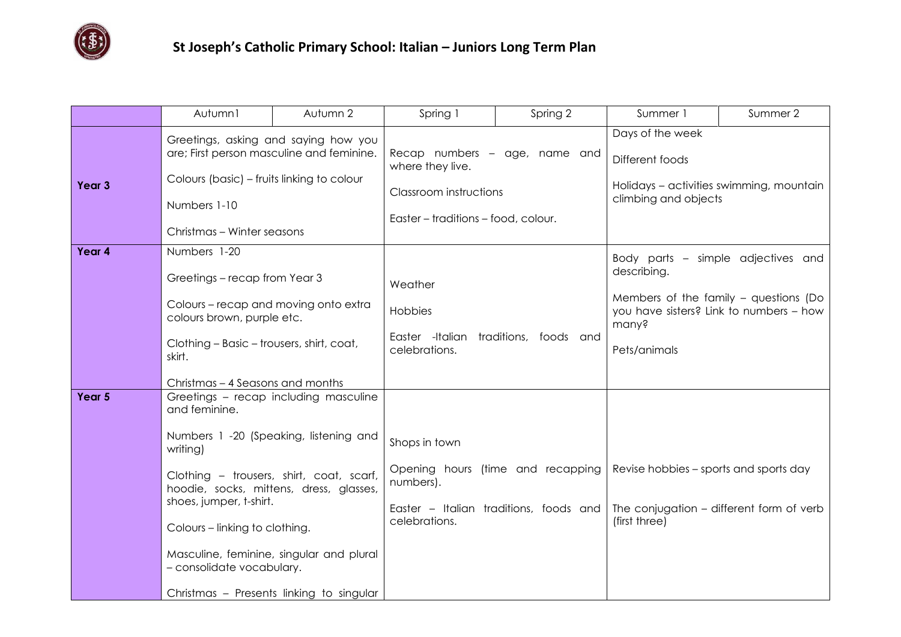

|        | Autumn1                                                                                                                                                                                                                                                                                                                                                                               | Autumn 2 | Spring 1                                                                                                                  | Spring 2                                                                    | Summer 1                                                                                                                                                         | Summer 2 |
|--------|---------------------------------------------------------------------------------------------------------------------------------------------------------------------------------------------------------------------------------------------------------------------------------------------------------------------------------------------------------------------------------------|----------|---------------------------------------------------------------------------------------------------------------------------|-----------------------------------------------------------------------------|------------------------------------------------------------------------------------------------------------------------------------------------------------------|----------|
| Year 3 | Greetings, asking and saying how you<br>are; First person masculine and feminine.<br>Colours (basic) – fruits linking to colour<br>Numbers 1-10<br>Christmas - Winter seasons                                                                                                                                                                                                         |          | Recap numbers - age, name and<br>where they live.<br><b>Classroom instructions</b><br>Easter - traditions - food, colour. |                                                                             | Days of the week<br>Different foods<br>Holidays - activities swimming, mountain<br>climbing and objects                                                          |          |
| Year 4 | Numbers 1-20<br>Greetings – recap from Year 3<br>Colours - recap and moving onto extra<br>colours brown, purple etc.<br>Clothing - Basic - trousers, shirt, coat,<br>skirt.<br>Christmas - 4 Seasons and months                                                                                                                                                                       |          | Weather<br>Hobbies<br>Easter -Italian traditions, foods and<br>celebrations.                                              |                                                                             | Body parts - simple adjectives and<br>describing.<br>Members of the family $-$ questions (Do<br>you have sisters? Link to numbers - how<br>many?<br>Pets/animals |          |
| Year 5 | Greetings - recap including masculine<br>and feminine.<br>Numbers 1 -20 (Speaking, listening and<br>writing)<br>Clothing - trousers, shirt, coat, scarf,<br>hoodie, socks, mittens, dress, glasses,<br>shoes, jumper, t-shirt.<br>Colours - linking to clothing.<br>Masculine, feminine, singular and plural<br>- consolidate vocabulary.<br>Christmas - Presents linking to singular |          | Shops in town<br>numbers).<br>celebrations.                                                                               | Opening hours (time and recapping<br>Easter - Italian traditions, foods and | Revise hobbies – sports and sports day<br>The conjugation - different form of verb<br>(first three)                                                              |          |